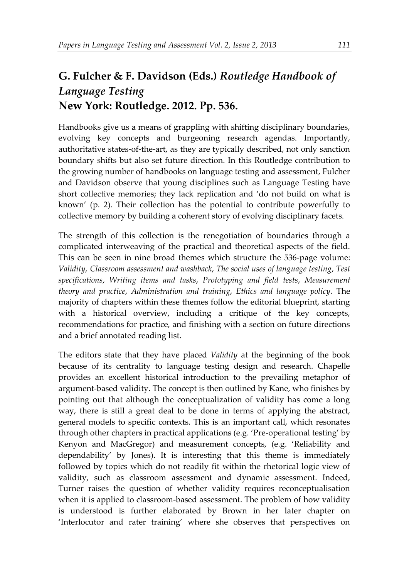## **G. Fulcher & F. Davidson (Eds.)** *Routledge Handbook of Language Testing* **New York: Routledge. 2012. Pp. 536.**

Handbooks give us a means of grappling with shifting disciplinary boundaries, evolving key concepts and burgeoning research agendas. Importantly, authoritative states-of-the-art, as they are typically described, not only sanction boundary shifts but also set future direction. In this Routledge contribution to the growing number of handbooks on language testing and assessment, Fulcher and Davidson observe that young disciplines such as Language Testing have short collective memories; they lack replication and 'do not build on what is known' (p. 2). Their collection has the potential to contribute powerfully to collective memory by building a coherent story of evolving disciplinary facets.

The strength of this collection is the renegotiation of boundaries through a complicated interweaving of the practical and theoretical aspects of the field. This can be seen in nine broad themes which structure the 536-page volume: *Validity*, *Classroom assessment and washback*, *The social uses of language testing*, *Test specifications*, *Writing items and tasks*, *Prototyping and field tests*, *Measurement theory and practice*, *Administration and training*, *Ethics and language policy*. The majority of chapters within these themes follow the editorial blueprint, starting with a historical overview, including a critique of the key concepts, recommendations for practice, and finishing with a section on future directions and a brief annotated reading list.

The editors state that they have placed *Validity* at the beginning of the book because of its centrality to language testing design and research. Chapelle provides an excellent historical introduction to the prevailing metaphor of argument-based validity. The concept is then outlined by Kane, who finishes by pointing out that although the conceptualization of validity has come a long way, there is still a great deal to be done in terms of applying the abstract, general models to specific contexts. This is an important call, which resonates through other chapters in practical applications (e.g. 'Pre-operational testing' by Kenyon and MacGregor) and measurement concepts, (e.g. 'Reliability and dependability' by Jones). It is interesting that this theme is immediately followed by topics which do not readily fit within the rhetorical logic view of validity, such as classroom assessment and dynamic assessment. Indeed, Turner raises the question of whether validity requires reconceptualisation when it is applied to classroom-based assessment. The problem of how validity is understood is further elaborated by Brown in her later chapter on 'Interlocutor and rater training' where she observes that perspectives on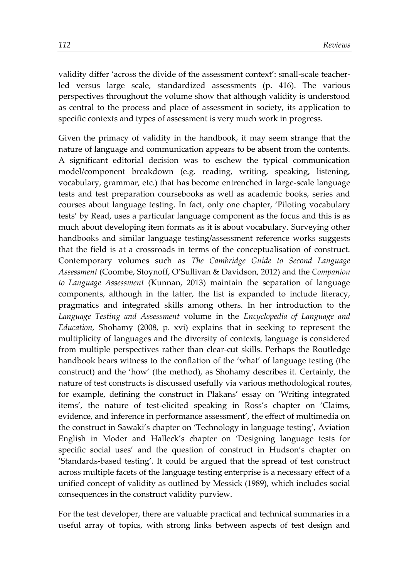validity differ 'across the divide of the assessment context': small-scale teacherled versus large scale, standardized assessments (p. 416). The various perspectives throughout the volume show that although validity is understood as central to the process and place of assessment in society, its application to specific contexts and types of assessment is very much work in progress.

Given the primacy of validity in the handbook, it may seem strange that the nature of language and communication appears to be absent from the contents. A significant editorial decision was to eschew the typical communication model/component breakdown (e.g. reading, writing, speaking, listening, vocabulary, grammar, etc.) that has become entrenched in large-scale language tests and test preparation coursebooks as well as academic books, series and courses about language testing. In fact, only one chapter, 'Piloting vocabulary tests' by Read, uses a particular language component as the focus and this is as much about developing item formats as it is about vocabulary. Surveying other handbooks and similar language testing/assessment reference works suggests that the field is at a crossroads in terms of the conceptualisation of construct. Contemporary volumes such as *The Cambridge Guide to Second Language Assessment* (Coombe, Stoynoff, O'Sullivan & Davidson, 2012) and the *Companion to Language Assessment* (Kunnan, 2013) maintain the separation of language components, although in the latter, the list is expanded to include literacy, pragmatics and integrated skills among others. In her introduction to the *Language Testing and Assessment* volume in the *Encyclopedia of Language and Education,* Shohamy (2008, p. xvi) explains that in seeking to represent the multiplicity of languages and the diversity of contexts, language is considered from multiple perspectives rather than clear-cut skills. Perhaps the Routledge handbook bears witness to the conflation of the 'what' of language testing (the construct) and the 'how' (the method), as Shohamy describes it. Certainly, the nature of test constructs is discussed usefully via various methodological routes, for example, defining the construct in Plakans' essay on 'Writing integrated items', the nature of test-elicited speaking in Ross's chapter on 'Claims, evidence, and inference in performance assessment', the effect of multimedia on the construct in Sawaki's chapter on 'Technology in language testing', Aviation English in Moder and Halleck's chapter on 'Designing language tests for specific social uses' and the question of construct in Hudson's chapter on 'Standards-based testing'. It could be argued that the spread of test construct across multiple facets of the language testing enterprise is a necessary effect of a unified concept of validity as outlined by Messick (1989), which includes social consequences in the construct validity purview.

For the test developer, there are valuable practical and technical summaries in a useful array of topics, with strong links between aspects of test design and